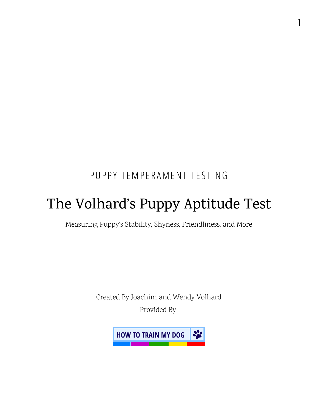### PUPPY TEMPERAMENT TESTING

1

# The Volhard's Puppy Aptitude Test

Measuring Puppy's Stability, Shyness, Friendliness, and More

Created By Joachim and Wendy Volhard Provided By

**HOW TO TRAIN MY DOG**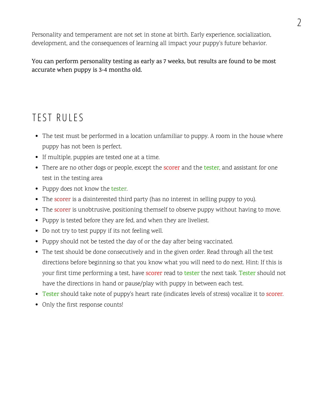Personality and temperament are not set in stone at birth. Early experience, socialization, [development,](https://www.thesprucepets.com/puppy-development-part-1-2804676) and the consequences of learning all impact your puppy's future behavior.

#### You can perform personality testing as early as 7 weeks, but results are found to be most accurate when puppy is 3-4 months old.

#### TEST RULES

- The test must be performed in a location unfamiliar to puppy. A room in the house where puppy has not been is perfect.
- If multiple, puppies are tested one at a time.
- There are no other dogs or people, except the **scorer** and the tester, and assistant for one test in the testing area
- Puppy does not know the tester.
- The scorer is a disinterested third party (has no interest in selling puppy to you).
- The scorer is unobtrusive, positioning themself to observe puppy without having to move.
- Puppy is tested before they are fed, and when they are liveliest.
- Do not try to test puppy if its not feeling well.
- Puppy should not be tested the day of or the day after being vaccinated.
- The test should be done consecutively and in the given order. Read through all the test directions before beginning so that you know what you will need to do next. Hint: If this is your first time performing a test, have scorer read to tester the next task. Tester should not have the directions in hand or pause/play with puppy in between each test.
- Tester should take note of puppy's heart rate (indicates levels of stress) vocalize it to scorer.
- Only the first response counts!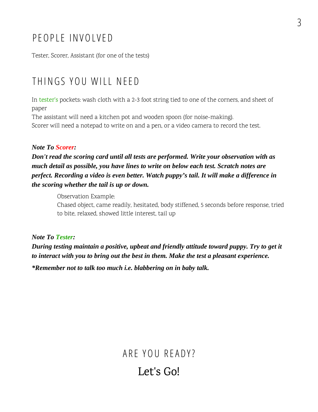#### P F OP LE INVOIVED

Tester, Scorer, Assistant (for one of the tests)

#### T H INGS Y OU WILL NEE D

In tester's pockets: wash cloth with a 2-3 foot string tied to one of the corners, and sheet of paper

The assistant will need a kitchen pot and wooden spoon (for noise-making). Scorer will need a notepad to write on and a pen, or a video camera to record the test.

#### Note To Scorer:

Don't read the scoring card until all tests are performed. Write your observation with as much detail as possible, you have lines to write on below each test. Scratch notes are perfect. Recording a video is even better. Watch puppy's tail. It will make a difference in the scoring whether the tail is up or down.

Observation Example:

Chased object, came readily, hesitated, body stiffened, 5 seconds before response, tried to bite, relaxed, showed little interest, tail up

Note To Tester:

During testing maintain a positive, upbeat and friendly attitude toward puppy. Try to get it to interact with you to bring out the best in them. Make the test a pleasant experience.

\*Remember not to talk too much i.e. blabbering on in baby talk.

ARE YOU READY? Let's Go!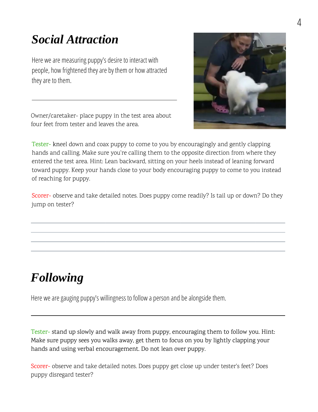# Social Attraction

Here we are measuring puppy's desire to interact with people, how frightened theyare by them or how attracted they are to them.

Owner/caretaker- place puppy in the test area about four feet from tester and leaves the area.



Tester- kneel down and coax puppy to come to you by encouragingly and gently clapping hands and calling. Make sure you're calling them to the opposite direction from where they entered the test area. Hint: Lean backward, sitting on your heels instead of leaning forward toward puppy. Keep your hands close to your body encouraging puppy to come to you instead of reaching for puppy.

Scorer- observe and take detailed notes. Does puppy come readily? Is tail up or down? Do they jump on tester?

# Following

Here we are gauging puppy's willingness to follow a person and be alongside them.

Tester- stand up slowly and walk away from puppy, encouraging them to follow you. Hint: Make sure puppy sees you walks away, get them to focus on you by lightly clapping your hands and using verbal encouragement. Do not lean over puppy.

Scorer- observe and take detailed notes. Does puppy get close up under tester's feet? Does puppy disregard tester?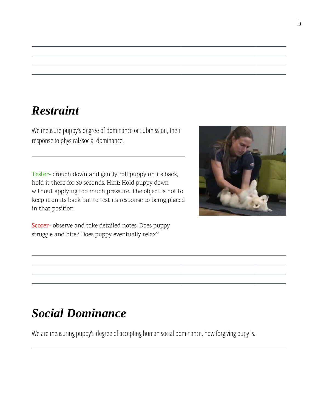#### Restraint

We measure puppy's degree of dominance or submission, their response to physical/social dominance.

Tester- crouch down and gently roll puppy on its back, hold it there for 30 seconds. Hint: Hold puppy down without applying too much pressure. The object is not to keep it on its back but to test its response to being placed in that position.



# Social Dominance

We are measuring puppy's degree of accepting human social dominance, how forgiving pupy is.

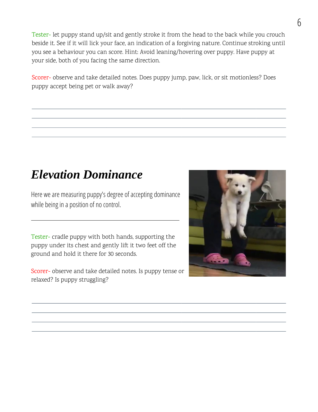Tester- let puppy stand up/sit and gently stroke it from the head to the back while you crouch beside it. See if it will lick your face, an indication of a forgiving nature. Continue stroking until you see a behaviour you can score. Hint: Avoid leaning/hovering over puppy. Have puppy at your side, both of you facing the same direction.

Scorer- observe and take detailed notes. Does puppy jump, paw, lick, or sit motionless? Does puppy accept being pet or walk away?

### Elevation Dominance

Here we are measuring puppy's degree of accepting dominance while being in a position of no control.

Tester- cradle puppy with both hands, supporting the puppy under its chest and gently lift it two feet off the ground and hold it there for 30 seconds.

Scorer- observe and take detailed notes. Is puppy tense or relaxed? Is puppy struggling?

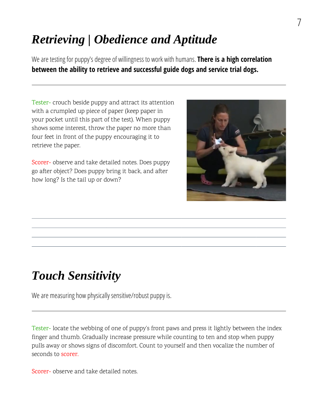# Retrieving | Obedience and Aptitude

We are testing for puppy's degree of willingness to work with humans. There is a high correlation **between the ability to retrieve and successful guide dogs and service trial dogs.**

Tester- crouch beside puppy and attract its attention with a crumpled up piece of paper (keep paper in your pocket until this part of the test). When puppy shows some interest, throw the paper no more than four feet in front of the puppy encouraging it to retrieve the paper.

Scorer- observe and take detailed notes. Does puppy go after object? Does puppy bring it back, and after how long? Is the tail up or down?



# Touch Sensitivity

We are measuring how physically sensitive/robust puppy is.

Tester- locate the webbing of one of puppy's front paws and press it lightly between the index finger and thumb. Gradually increase pressure while counting to ten and stop when puppy pulls away or shows signs of discomfort. Count to yourself and then vocalize the number of seconds to scorer.

Scorer- observe and take detailed notes.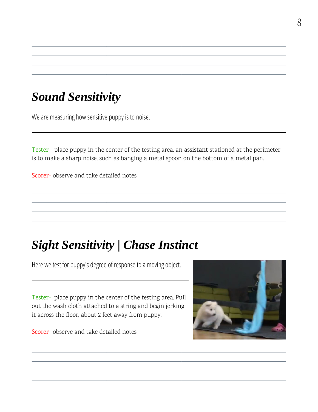### Sound Sensitivity

We are measuring how sensitive puppy is to noise.

Tester- place puppy in the center of the testing area, an assistant stationed at the perimeter is to make a sharp noise, such as banging a metal spoon on the bottom of a metal pan.

Scorer- observe and take detailed notes.

# Sight Sensitivity | Chase Instinct

Here we test for puppy's degree of response to a moving object.

Tester- place puppy in the center of the testing area. Pull out the wash cloth attached to a string and begin jerking it across the floor, about 2 feet away from puppy.

Scorer- observe and take detailed notes.

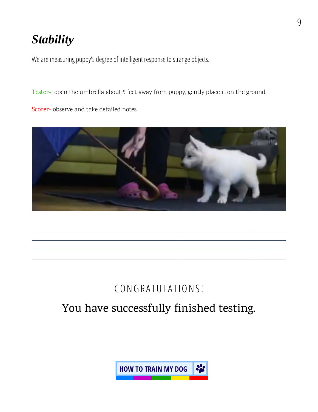# **Stability**

We are measuring puppy's degree of intelligent response to strange objects.

Tester- open the umbrella about 5 feet away from puppy, gently place it on the ground.

Scorer- observe and take detailed notes.



### CONGRATULATIONS!

### You have successfully finished testing.

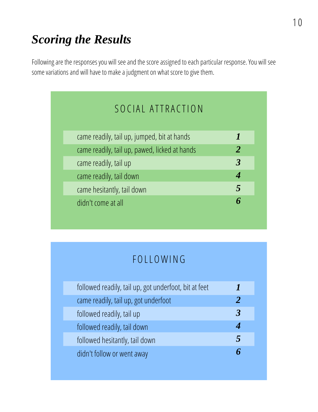Following are the responses you will see and the score assigned to each particular response. You will see some variations and will have to make a judgment on what score to give them.

| SOCIAL ATTRACTION                             |                      |
|-----------------------------------------------|----------------------|
| came readily, tail up, jumped, bit at hands   |                      |
| came readily, tail up, pawed, licked at hands | 2                    |
| came readily, tail up                         | $\boldsymbol{\beta}$ |
| came readily, tail down                       | 4                    |
| came hesitantly, tail down                    | 5                    |
| didn't come at all                            | 6                    |
|                                               |                      |

### **FOLLOWING**

| followed readily, tail up, got underfoot, bit at feet |              |
|-------------------------------------------------------|--------------|
| came readily, tail up, got underfoot                  | $\mathcal P$ |
| followed readily, tail up                             | 3            |
| followed readily, tail down                           |              |
| followed hesitantly, tail down                        | 5            |
| didn't follow or went away                            |              |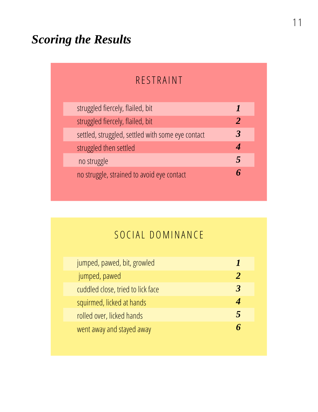#### **RESTRAINT**

| struggled fiercely, flailed, bit                  |               |
|---------------------------------------------------|---------------|
| struggled fiercely, flailed, bit                  | $\mathcal{P}$ |
| settled, struggled, settled with some eye contact | 3             |
| struggled then settled                            |               |
| no struggle                                       | 5             |
| no struggle, strained to avoid eye contact        |               |
|                                                   |               |

### SOCIAL DOMINANCE

| jumped, pawed, bit, growled       |   |
|-----------------------------------|---|
| jumped, pawed                     |   |
| cuddled close, tried to lick face | З |
| squirmed, licked at hands         |   |
| rolled over, licked hands         | 5 |
| went away and stayed away         |   |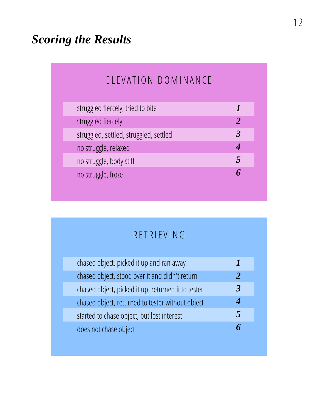#### ELEVATION DOMINANCE

| struggled fiercely, tried to bite      |   |
|----------------------------------------|---|
| struggled fiercely                     |   |
| struggled, settled, struggled, settled | З |
| no struggle, relaxed                   |   |
| no struggle, body stiff                | 5 |
| no struggle, froze                     |   |
|                                        |   |

### **RETRIEVING**

| chased object, picked it up and ran away           |              |
|----------------------------------------------------|--------------|
| chased object, stood over it and didn't return     | $\mathbf{2}$ |
| chased object, picked it up, returned it to tester | З            |
| chased object, returned to tester without object   |              |
| started to chase object, but lost interest         | 5            |
| does not chase object                              |              |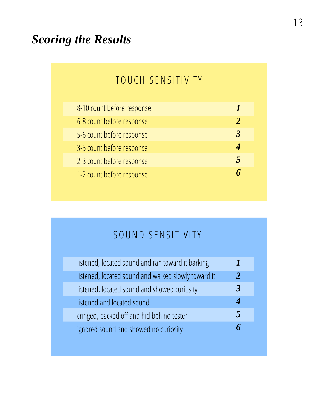#### TOUCH SENSITIVITY

| 8-10 count before response |                            |
|----------------------------|----------------------------|
| 6-8 count before response  | $\boldsymbol{\mathcal{P}}$ |
| 5-6 count before response  | 3                          |
| 3-5 count before response  |                            |
| 2-3 count before response  | 5                          |
| 1-2 count before response  |                            |
|                            |                            |

## SOUND SENSITIVITY

| listened, located sound and ran toward it barking   |              |
|-----------------------------------------------------|--------------|
| listened, located sound and walked slowly toward it | $\mathbf{2}$ |
| listened, located sound and showed curiosity        | R            |
| listened and located sound                          |              |
| cringed, backed off and hid behind tester           | 5            |
| ignored sound and showed no curiosity               |              |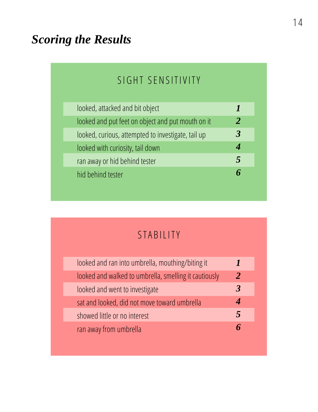### SIGHT SENSITIVITY

| looked, attacked and bit object                    |                |
|----------------------------------------------------|----------------|
| looked and put feet on object and put mouth on it  | $\overline{2}$ |
| looked, curious, attempted to investigate, tail up | 3              |
| looked with curiosity, tail down                   |                |
| ran away or hid behind tester                      | 5              |
| hid behind tester                                  |                |
|                                                    |                |

### STABILITY

| looked and ran into umbrella, mouthing/biting it      |                            |
|-------------------------------------------------------|----------------------------|
| looked and walked to umbrella, smelling it cautiously | $\boldsymbol{\mathcal{P}}$ |
| looked and went to investigate                        | $\mathbf{R}$               |
| sat and looked, did not move toward umbrella          |                            |
| showed little or no interest                          | 5                          |
| ran away from umbrella                                | Б                          |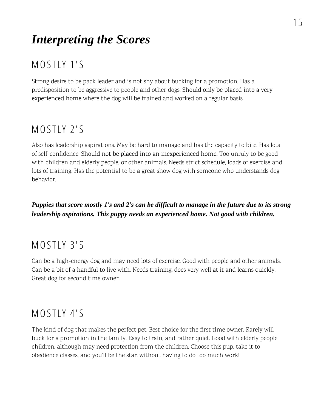# Interpreting the Scores

### MOSTLY 1'S

Strong desire to be pack leader and is not shy about bucking for a promotion. Has a predisposition to be aggressive to people and other dogs. Should only be placed into a very experienced home where the dog will be trained and worked on a regular basis

#### MOSTLY 2'S

Also has leadership aspirations. May be hard to manage and has the capacity to bite. Has lots of self-confidence. Should not be placed into an inexperienced home. Too unruly to be good with children and elderly people, or other animals. Needs strict schedule, loads of exercise and lots of training. Has the potential to be a great show dog with someone who understands dog behavior.

Puppies that score mostly 1's and 2's can be difficult to manage in the future due to its strong leadership aspirations. This puppy needs an experienced home. Not good with children.

#### MOSTLY 3'S

Can be a high-energy dog and may need lots of exercise. Good with people and other animals. Can be a bit of a handful to live with. Needs training, does very well at it and learns quickly. Great dog for second time owner.

#### MOSTLY 4'S

The kind of dog that makes the perfect pet. Best choice for the first time owner. Rarely will buck for a promotion in the family. Easy to train, and rather quiet. Good with elderly people, children, although may need protection from the children. Choose this pup, take it to obedience classes, and you'll be the star, without having to do too much work!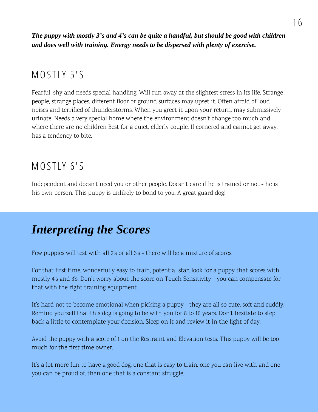The puppy with mostly 3's and 4's can be quite a handful, but should be good with children and does well with training. Energy needs to be dispersed with plenty of exercise.

#### MOSTLY 5'S

Fearful, shy and needs special handling. Will run away at the slightest stress in its life. Strange people, strange places, different floor or ground surfaces may upset it. Often afraid of loud noises and terrified of thunderstorms. When you greet it upon your return, may submissively urinate. Needs a very special home where the environment doesn't change too much and where there are no children Best for a quiet, elderly couple. If cornered and cannot get away, has a tendency to bite.

#### MOSTLY 6'S

Independent and doesn't need you or other people. Doesn't care if he is trained or not - he is his own person. This puppy is unlikely to bond to you. A great guard dog!

### Interpreting the Scores

Few puppies will test with all 2's or all 3's - there will be a mixture of scores.

For that first time, wonderfully easy to train, potential star, look for a puppy that scores with mostly 4's and 3's. Don't worry about the score on Touch Sensitivity - you can compensate for that with the right training equipment.

It's hard not to become emotional when picking a puppy - they are all so cute, soft and cuddly. Remind yourself that this dog is going to be with you for 8 to 16 years. Don't hesitate to step back a little to contemplate your decision. Sleep on it and review it in the light of day.

Avoid the puppy with a score of 1 on the Restraint and Elevation tests. This puppy will be too much for the first time owner.

It's a lot more fun to have a good dog, one that is easy to train, one you can live with and one you can be proud of, than one that is a constant struggle.